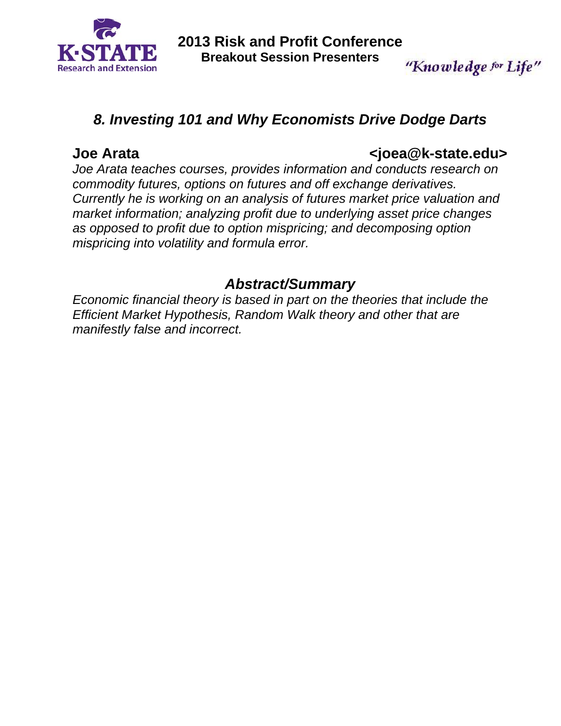

"Knowledge for Life"

# *8. Investing 101 and Why Economists Drive Dodge Darts*

# **Joe Arata <joea@k-state.edu>**

*Joe Arata teaches courses, provides information and conducts research on commodity futures, options on futures and off exchange derivatives. Currently he is working on an analysis of futures market price valuation and market information; analyzing profit due to underlying asset price changes as opposed to profit due to option mispricing; and decomposing option mispricing into volatility and formula error.* 

# *Abstract/Summary*

*Economic financial theory is based in part on the theories that include the Efficient Market Hypothesis, Random Walk theory and other that are manifestly false and incorrect.*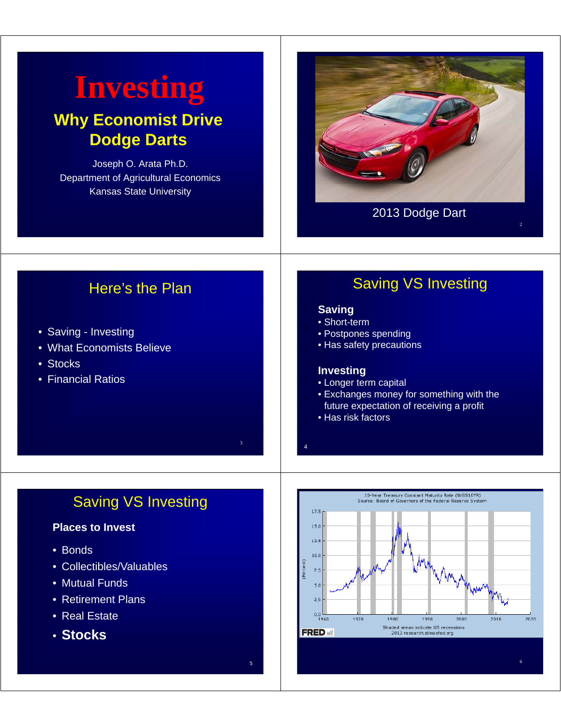# **Investing Why Economist Drive Dodge Darts**

Joseph O. Arata Ph.D. Department of Agricultural Economics Kansas State University



### 2013 Dodge Dart

2

# Here's the Plan

- Saving Investing
- What Economists Believe
- Stocks
- Financial Ratios

# Saving VS Investing

#### **Saving**

- Short-term
- Postpones spending
- Has safety precautions

#### **Investing**

4

- Longer term capital
- Exchanges money for something with the future expectation of receiving a profit
- Has risk factors

# Saving VS Investing

3

#### **Places to Invest**

- Bonds
- Collectibles/Valuables
- Mutual Funds
- Retirement Plans
- Real Estate
- **Stocks**



 $5$  6  $6$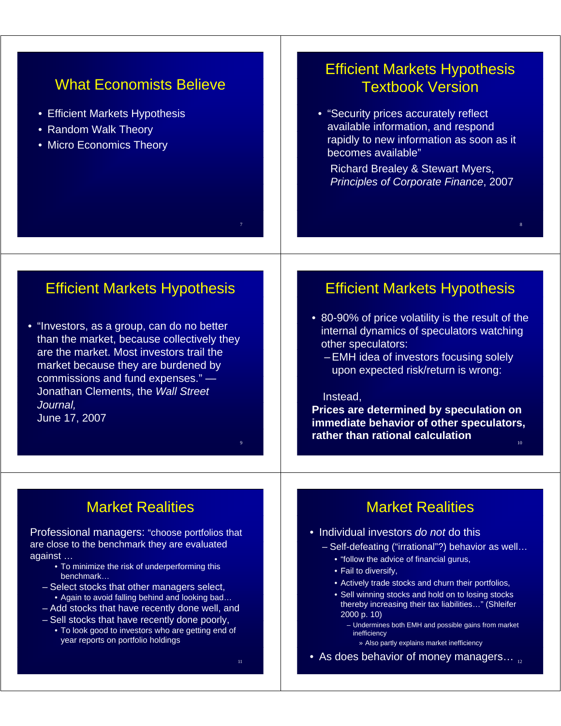# What Economists Believe

- Efficient Markets Hypothesis
- Random Walk Theory
- Micro Economics Theory

# Efficient Markets Hypothesis Textbook Version

• "Security prices accurately reflect available information, and respond rapidly to new information as soon as it becomes available"

Richard Brealey & Stewart Myers, **Principles of Corporate Finance, 2007** 

8

# Efficient Markets Hypothesis

• "Investors, as a group, can do no better than the market, because collectively they are the market. Most investors trail the market because they are burdened by commissions and fund expenses." $-$ Jonathan Clements, the *Wall Street J l ourna ,* June 17, 2007

# Market Realities

Professional managers: "choose portfolios that are close to the benchmark they are evaluated against …

- To minimize the risk of underperforming this benchmark…
- Select stocks that other managers select, • Again to avoid falling behind and looking bad…
- Add stocks that have recently done well, and
- $-$  Sell stocks that have recently done poorly,
- To look good to investors who are getting end of year reports on portfolio holdings

11

7

9

# Efficient Markets Hypothesis

• 80-90% of price volatility is the result of the internal dynamics of speculators watching other speculators:

– EMH idea of investors focusing solely upon expected risk/return is wrong:

#### Instead,

**Prices are determined by speculation on immediate behavior of other speculators, rather than rational calculation** <sup>10</sup>

# Market Realities

#### • Individual investors *do not* do this

- Self-defeating ("irrational"?) behavior as well…
	- "follow the advice of financial gurus,
	- Fail to diversify,
	- Actively trade stocks and churn their portfolios,
	- Sell winning stocks and hold on to losing stocks thereby increasing their tax liabilities…" (Shleifer 2000 p. 10)
		- Undermines both EMH and possible gains from market inefficiency
			- » Also partly explains market inefficiency
- As does behavior of money managers...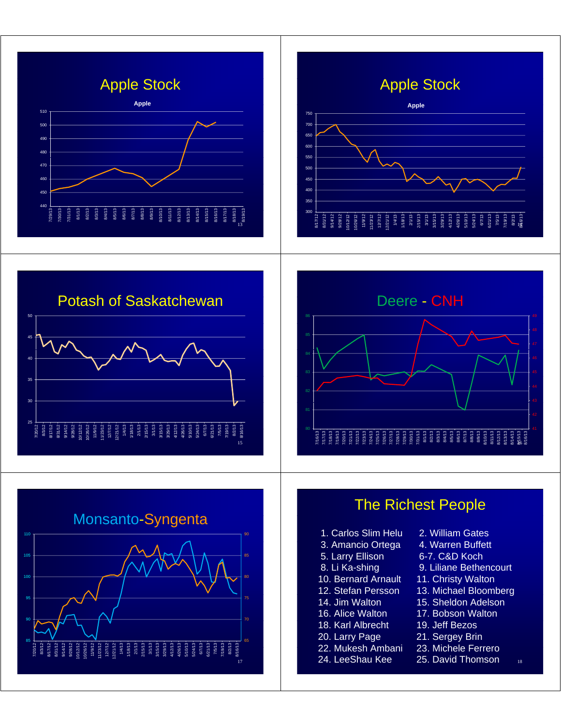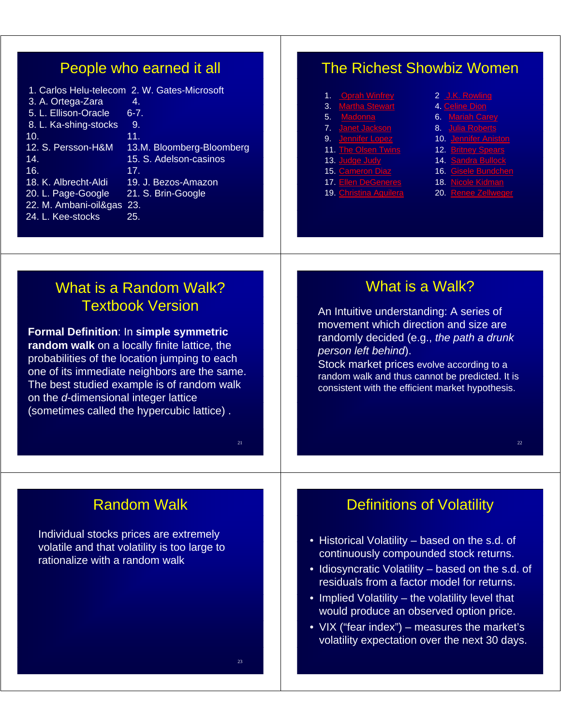# People who earned it all

|                       | 1. Carlos Helu-telecom 2. W. Gates-Microsoft |
|-----------------------|----------------------------------------------|
| 3. A. Ortega-Zara     | 4.                                           |
| 5. L. Ellison-Oracle  | $6 - 7$ .                                    |
| 8. L. Ka-shing-stocks | 9.                                           |
| 10.                   | 11.                                          |
| 12. S. Persson-H&M    | 13.M. Bloomberg-Bloomberg                    |
| 14 <sup>°</sup>       | 15. S. Adelson-casinos                       |
| 16.                   | 17.                                          |
| 18. K. Albrecht-Aldi  | 19. J. Bezos-Amazon                          |
| 20. L. Page-Google    | 21. S. Brin-Google                           |
| 22. M. Ambani-oil&gas | 23.                                          |
| 24. L. Kee-stocks     | 25.                                          |
|                       |                                              |

# The Richest Showbiz Women

- 1. Oprah Winfrey 2 J.K. Rowling
- 3. <u>Martha Stewart</u> 4. <u>Celine Dion</u>
- 5. <mark>Madonna</mark> 6. <mark>Mariah Carey</mark>
	-
- 
- 
- 
- 
- 
- 
- 
- 
- 
- 
- 7. <mark>Janet Jackson</mark> 8. <u>Julia Roberts</u>
- 9. <mark>Jennifer Lopez</mark> 10. <u>Jennifer Aniston</u>
- 11. The Olsen Twins 12. Britney Spears
- 13. Judge Judy 14. Sandra Bullock
- 15. Cameron Diaz 16. Gisele Bundchen
- 17. Ellen DeGeneres 18. Nicole Kidman
- 19. Christina Aguilera 20. Renee Zellweger

22

# What is a Random Walk? Textbook Version

**Formal Definition**: In **simple symmetric**  random walk on a locally finite lattice, the probabilities of the location jumping to each one of its immediate neighbors are the same. The best studied example is of random walk on the *d*-dimensional integer lattice (sometimes called the hypercubic lattice) .

# What is a Walk?

An Intuitive understanding: A series of movement which direction and size are randomly decided (e.g., *the path a drunk person left behind*).

Stock market prices evolve according to a random walk and thus cannot be predicted. It is consistent with the efficient market hypothesis.

# Random Walk

Individual stocks prices are extremely volatile and that volatility is too large to rationalize with a random walk

# Definitions of Volatility

- $\bullet$  Historical Volatility based on the s.d. of continuously compounded stock returns.
- Idiosyncratic Volatility based on the s.d. of residuals from a factor model for returns.
- Implied Volatility the volatility level that would produce an observed option price.
- VIX ("fear index") measures the market's volatility expectation over the next 30 days.

23

21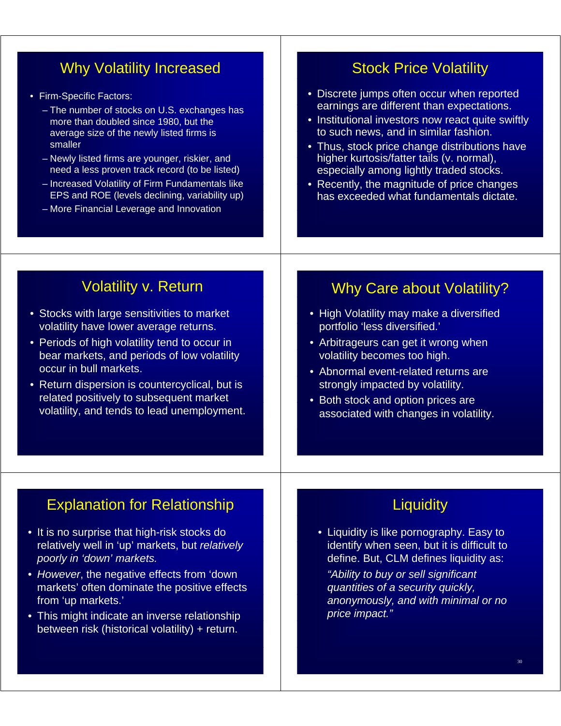# Why Volatility Increased

- Firm-Specific Factors:
	- The number of stocks on U.S. exchanges has more than doubled since 1980, but the average size of the newly listed firms is smaller
	- Newly listed firms are younger, riskier, and need a less proven track record (to be listed)
	- Increased Volatility of Firm Fundamentals like EPS and ROE (levels declining, variability up)
	- More Financial Leverage and Innovation

# Stock Price Volatility

- Discrete jumps often occur when reported earnings are different than expectations.
- Institutional investors now react quite swiftly to such news, and in similar fashion.
- Thus, stock price change distributions have higher kurtosis/fatter tails (v. normal), especially among lightly traded stocks.
- Recently, the magnitude of price changes has exceeded what fundamentals dictate.

# Volatility v. Return

- Stocks with large sensitivities to market volatility have lower average returns.
- Periods of high volatility tend to occur in bear markets, and periods of low volatility occur in bull markets.
- Return dispersion is countercyclical, but is related positively to subsequent market volatility, and tends to lead unemployment.

# Why Care about Volatility?

- High Volatility may make a diversified portfolio 'less diversified.'
- Arbitrageurs can get it wrong when volatility becomes too high.
- Abnormal event-related returns are strongly impacted by volatility.
- Both stock and option prices are associated with changes in volatility.

## Explanation for Relationship

- It is no surprise that high-risk stocks do relatively well in 'up' markets, but *relatively poorly in 'down' markets.*
- *However*, the negative effects from 'down markets' often dominate the positive effects from 'up markets.'
- This might indicate an inverse relationship between risk (historical volatility) + return.

# **Liquidity**

• Liquidity is like pornography. Easy to identify when seen, but it is difficult to define. But, CLM defines liquidity as:

*"Ability to buy or sell significant quantities of a security quickly, anonymously, and with minimal or no price impact."*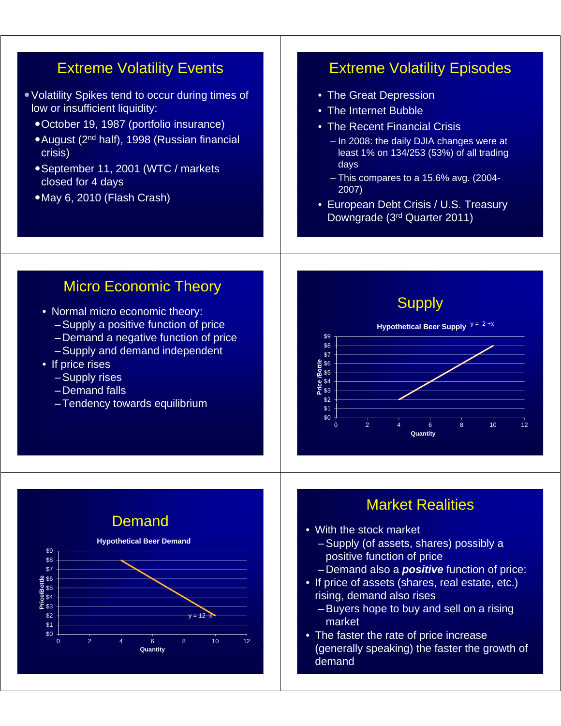# Extreme Volatility Events

- Volatility Spikes tend to occur during times of low or insufficient liquidity:
	- October 19, 1987 (portfolio insurance)
	- August (2<sup>nd</sup> half), 1998 (Russian financial crisis)
	- September 11, 2001 (WTC / markets closed for 4 days
	- •May 6, 2010 (Flash Crash)

# Extreme Volatility Episodes

- The Great Depression
- The Internet Bubble
- The Recent Financial Crisis
	- In 2008: the daily DJIA changes were at least 1% on  $134/253$  (53%) of all trading days
	- This compares to a 15.6% avg. (2004- 2007)
- European Debt Crisis / U.S. Treasury Downgrade (3rd Quarter 2011)

# Micro Economic Theory

- Normal micro economic theory:
	- $-$  Supply a positive function of price
	- Demand a negative function of price
	- Supply and demand independent
- If price rises
	- Supply rises
	- Demand falls
	- $-$ Tendency towards equilibrium



# **Market Realities**

- With the stock market
	- Supply (of assets, shares) possibly a positive function of price
	- Demand also a *positive* function of price:
- If price of assets (shares, real estate, etc.) rising, demand also rises
	- Buyers hope to buy and sell on a rising market
- The faster the rate of price increase (generally speaking) the faster the growth of demand

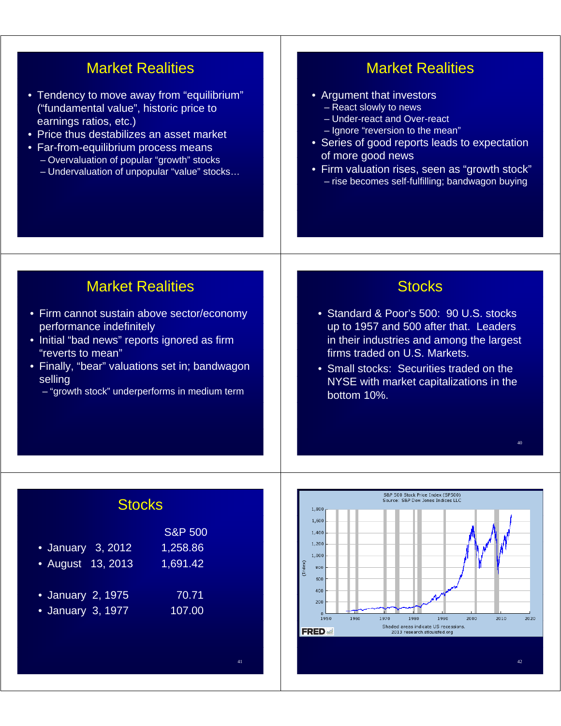# Market Realities

- Tendency to move away from "equilibrium" ("fundamental value", historic price to earnings ratios, etc.)
- Price thus destabilizes an asset market
- Far-from-equilibrium process means – Overvaluation of popular "growth" stocks
	- Undervaluation of unpopular "value" stocks…

# Market Realities

- Argument that investors
	- $-$  React slowly to news
	- Under-react and Over-react
	- $-$  Ignore "reversion to the mean"
- Series of good reports leads to expectation of more good news
- Firm valuation rises, seen as "growth stock" – rise becomes self-fulfilling; bandwagon buying

# Market Realities

- Firm cannot sustain above sector/economy performance indefinitely
- Initial "bad news" reports ignored as firm " reverts to mean"
- Finally, "bear" valuations set in; bandwagon selling
	- "growth stock" underperforms in medium term

# **Stocks**

- Standard & Poor's 500: 90 U.S. stocks up to 1957 and 500 after that. Leaders in their industries and among the largest firms traded on U.S. Markets.
- Small stocks: Securities traded on the NYSE with market capitalizations in the bottom 10%.

40

# **Stocks**

|                   | <b>S&amp;P 500</b> |
|-------------------|--------------------|
| • January 3, 2012 | 1,258.86           |
| • August 13, 2013 | 1,691.42           |
| • January 2, 1975 | 70.71              |
| • January 3, 1977 | 107.00             |
|                   |                    |
|                   |                    |
|                   |                    |

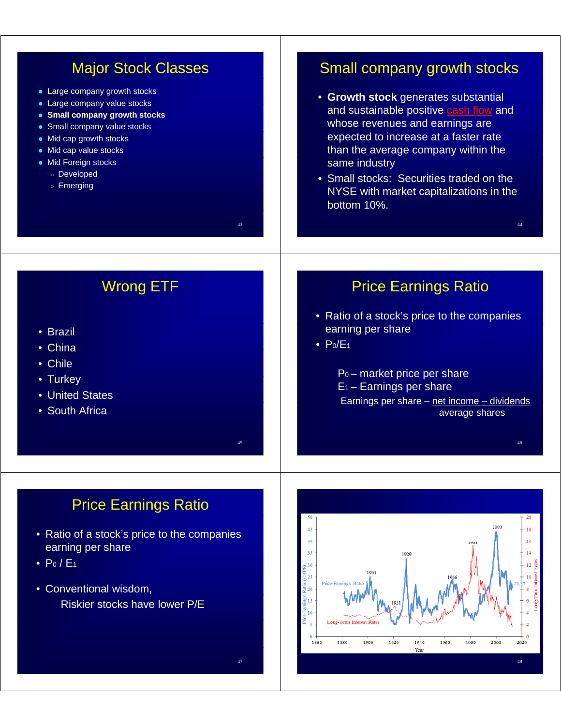| <b>Major Stock Classes</b><br>• Large company growth stocks<br>• Large company value stocks<br>• Small company growth stocks<br>• Small company value stocks<br>• Mid cap growth stocks<br>• Mid cap value stocks<br>• Mid Foreign stocks<br>» Developed<br>» Emerging<br>43 | Small company growth stocks<br>• Growth stock generates substantial<br>and sustainable positive cash flow and<br>whose revenues and earnings are<br>expected to increase at a faster rate<br>than the average company within the<br>same industry<br>• Small stocks: Securities traded on the<br>NYSE with market capitalizations in the<br>bottom 10%.<br>44 |
|------------------------------------------------------------------------------------------------------------------------------------------------------------------------------------------------------------------------------------------------------------------------------|---------------------------------------------------------------------------------------------------------------------------------------------------------------------------------------------------------------------------------------------------------------------------------------------------------------------------------------------------------------|
| <b>Wrong ETF</b><br>• Brazil<br>• China<br>• Chile<br>• Turkey<br>• United States<br>• South Africa<br>45                                                                                                                                                                    | <b>Price Earnings Ratio</b><br>• Ratio of a stock's price to the companies<br>earning per share<br>$\bullet$ P <sub>0</sub> /E <sub>1</sub><br>$Po$ – market price per share<br>$E_1$ – Earnings per share<br>Earnings per share - net income - dividends<br>average shares<br>46                                                                             |
| <b>Price Earnings Ratio</b><br>• Ratio of a stock's price to the companies<br>earning per share<br>$\bullet$ P <sub>0</sub> / E <sub>1</sub><br>• Conventional wisdom,<br>Riskier stocks have lower P/E                                                                      | 50<br>20<br>2000<br>45<br>18<br>40<br>16<br>1981<br>35<br>14<br>1929<br>$\frac{1}{2}$<br>$\frac{30}{25}$<br>1901<br>Price-Earnings Rat<br>을<br><u>중</u> 20<br><u>ືອ</u> າs<br>10<br>Long-Term Interest Rate<br>$\Omega$<br>1860<br>1880<br>1900<br>1920<br>1940<br>1960<br>1980<br>2000<br>2020<br>Year                                                       |

 $47$  and  $48$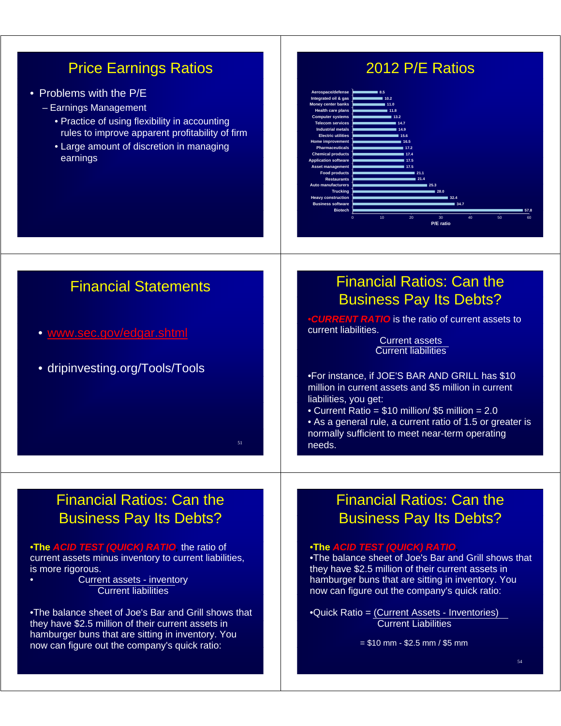# Price Earnings Ratios

- Problems with the P/E
	- Earnings Management
		- Practice of using flexibility in accounting rules to improve apparent profitability of firm
		- Large amount of discretion in managing earnings

# 2012 P/E Ratios



| <b>Financial Statements</b>                                                                                                                                                           | <b>Financial Ratios: Can the</b>                                                                                                                                                                                                                                                                               |
|---------------------------------------------------------------------------------------------------------------------------------------------------------------------------------------|----------------------------------------------------------------------------------------------------------------------------------------------------------------------------------------------------------------------------------------------------------------------------------------------------------------|
|                                                                                                                                                                                       | <b>Business Pay Its Debts?</b>                                                                                                                                                                                                                                                                                 |
| • www.sec.gov/edgar.shtml                                                                                                                                                             | <b>.CURRENT RATIO</b> is the ratio of current assets to<br>current liabilities.<br><b>Current assets</b><br><b>Current liabilities</b>                                                                                                                                                                         |
| • dripinvesting.org/Tools/Tools<br>51                                                                                                                                                 | .For instance, if JOE'S BAR AND GRILL has \$10<br>million in current assets and \$5 million in current<br>liabilities, you get:<br>• Current Ratio = \$10 million/ \$5 million = 2.0<br>• As a general rule, a current ratio of 1.5 or greater is<br>normally sufficient to meet near-term operating<br>needs. |
|                                                                                                                                                                                       |                                                                                                                                                                                                                                                                                                                |
|                                                                                                                                                                                       |                                                                                                                                                                                                                                                                                                                |
|                                                                                                                                                                                       |                                                                                                                                                                                                                                                                                                                |
| <b>Financial Ratios: Can the</b>                                                                                                                                                      | <b>Financial Ratios: Can the</b>                                                                                                                                                                                                                                                                               |
| <b>Business Pay Its Debts?</b>                                                                                                                                                        | <b>Business Pay Its Debts?</b>                                                                                                                                                                                                                                                                                 |
|                                                                                                                                                                                       |                                                                                                                                                                                                                                                                                                                |
| .The ACID TEST (QUICK) RATIO, the ratio of<br>current assets minus inventory to current liabilities,<br>is more rigorous.<br>Current assets - inventory<br><b>Current liabilities</b> | <b>•The ACID TEST (QUICK) RATIO,</b><br>.The balance sheet of Joe's Bar and Grill shows that<br>they have \$2.5 million of their current assets in<br>hamburger buns that are sitting in inventory. You<br>now can figure out the company's quick ratio:                                                       |
| •The balance sheet of Joe's Bar and Grill shows that<br>they have \$2.5 million of their current assets in                                                                            | •Quick Ratio = (Current Assets - Inventories)<br><b>Current Liabilities</b>                                                                                                                                                                                                                                    |
| hamburger buns that are sitting in inventory. You                                                                                                                                     |                                                                                                                                                                                                                                                                                                                |
| now can figure out the company's quick ratio:                                                                                                                                         | $= $10$ mm - \$2.5 mm / \$5 mm                                                                                                                                                                                                                                                                                 |
|                                                                                                                                                                                       | 54                                                                                                                                                                                                                                                                                                             |